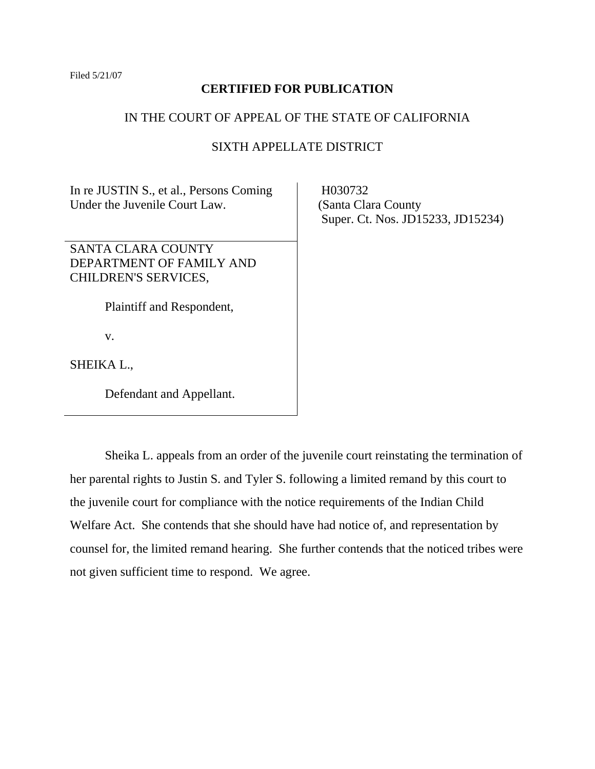## **CERTIFIED FOR PUBLICATION**

## IN THE COURT OF APPEAL OF THE STATE OF CALIFORNIA

# SIXTH APPELLATE DISTRICT

In re JUSTIN S., et al., Persons Coming Under the Juvenile Court Law.

SANTA CLARA COUNTY DEPARTMENT OF FAMILY AND CHILDREN'S SERVICES,

Plaintiff and Respondent,

v.

SHEIKA L.,

Defendant and Appellant.

 H030732 (Santa Clara County Super. Ct. Nos. JD15233, JD15234)

 Sheika L. appeals from an order of the juvenile court reinstating the termination of her parental rights to Justin S. and Tyler S. following a limited remand by this court to the juvenile court for compliance with the notice requirements of the Indian Child Welfare Act. She contends that she should have had notice of, and representation by counsel for, the limited remand hearing. She further contends that the noticed tribes were not given sufficient time to respond. We agree.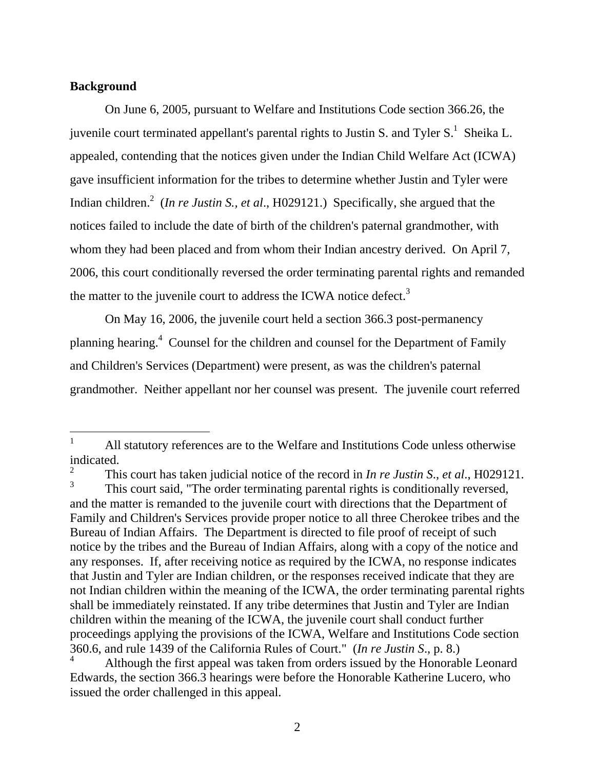## **Background**

 $\overline{a}$ 

On June 6, 2005, pursuant to Welfare and Institutions Code section 366.26, the juvenile court terminated appellant's parental rights to Justin S. and Tyler  $S<sup>1</sup>$ . Sheika L. appealed, contending that the notices given under the Indian Child Welfare Act (ICWA) gave insufficient information for the tribes to determine whether Justin and Tyler were Indian children.<sup>2</sup> (*In re Justin S., et al.*, H029121.) Specifically, she argued that the notices failed to include the date of birth of the children's paternal grandmother, with whom they had been placed and from whom their Indian ancestry derived. On April 7, 2006, this court conditionally reversed the order terminating parental rights and remanded the matter to the juvenile court to address the ICWA notice defect.<sup>3</sup>

On May 16, 2006, the juvenile court held a section 366.3 post-permanency planning hearing.<sup>4</sup> Counsel for the children and counsel for the Department of Family and Children's Services (Department) were present, as was the children's paternal grandmother. Neither appellant nor her counsel was present. The juvenile court referred

<sup>1</sup> All statutory references are to the Welfare and Institutions Code unless otherwise indicated.

<sup>2</sup> This court has taken judicial notice of the record in *In re Justin S*., *et al*., H029121. 3 This court said, "The order terminating parental rights is conditionally reversed, and the matter is remanded to the juvenile court with directions that the Department of

Family and Children's Services provide proper notice to all three Cherokee tribes and the Bureau of Indian Affairs. The Department is directed to file proof of receipt of such notice by the tribes and the Bureau of Indian Affairs, along with a copy of the notice and any responses. If, after receiving notice as required by the ICWA, no response indicates that Justin and Tyler are Indian children, or the responses received indicate that they are not Indian children within the meaning of the ICWA, the order terminating parental rights shall be immediately reinstated. If any tribe determines that Justin and Tyler are Indian children within the meaning of the ICWA, the juvenile court shall conduct further proceedings applying the provisions of the ICWA, Welfare and Institutions Code section 360.6, and rule 1439 of the California Rules of Court." (*In re Justin S*., p. 8.)

<sup>4</sup> Although the first appeal was taken from orders issued by the Honorable Leonard Edwards, the section 366.3 hearings were before the Honorable Katherine Lucero, who issued the order challenged in this appeal.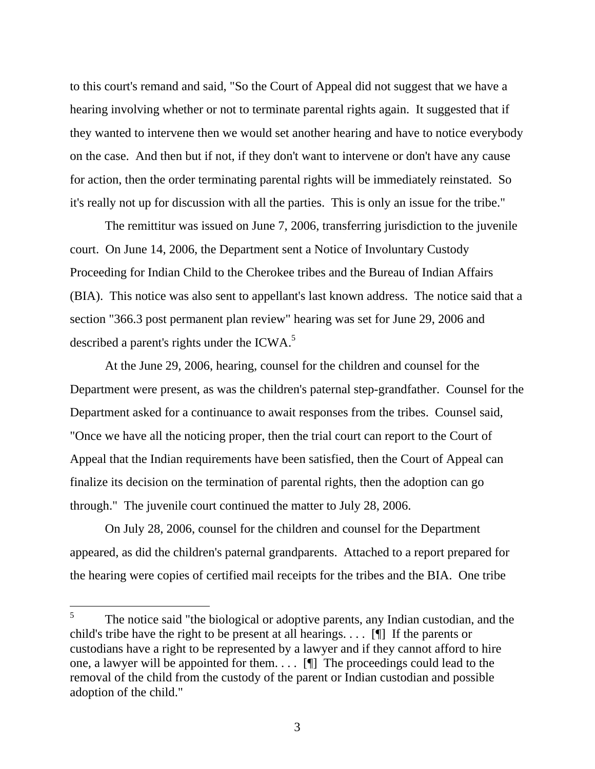to this court's remand and said, "So the Court of Appeal did not suggest that we have a hearing involving whether or not to terminate parental rights again. It suggested that if they wanted to intervene then we would set another hearing and have to notice everybody on the case. And then but if not, if they don't want to intervene or don't have any cause for action, then the order terminating parental rights will be immediately reinstated. So it's really not up for discussion with all the parties. This is only an issue for the tribe."

The remittitur was issued on June 7, 2006, transferring jurisdiction to the juvenile court. On June 14, 2006, the Department sent a Notice of Involuntary Custody Proceeding for Indian Child to the Cherokee tribes and the Bureau of Indian Affairs (BIA). This notice was also sent to appellant's last known address. The notice said that a section "366.3 post permanent plan review" hearing was set for June 29, 2006 and described a parent's rights under the ICWA.<sup>5</sup>

At the June 29, 2006, hearing, counsel for the children and counsel for the Department were present, as was the children's paternal step-grandfather. Counsel for the Department asked for a continuance to await responses from the tribes. Counsel said, "Once we have all the noticing proper, then the trial court can report to the Court of Appeal that the Indian requirements have been satisfied, then the Court of Appeal can finalize its decision on the termination of parental rights, then the adoption can go through." The juvenile court continued the matter to July 28, 2006.

 On July 28, 2006, counsel for the children and counsel for the Department appeared, as did the children's paternal grandparents. Attached to a report prepared for the hearing were copies of certified mail receipts for the tribes and the BIA. One tribe

<sup>5</sup> The notice said "the biological or adoptive parents, any Indian custodian, and the child's tribe have the right to be present at all hearings.  $\dots$  [I] If the parents or custodians have a right to be represented by a lawyer and if they cannot afford to hire one, a lawyer will be appointed for them. . . . [¶] The proceedings could lead to the removal of the child from the custody of the parent or Indian custodian and possible adoption of the child."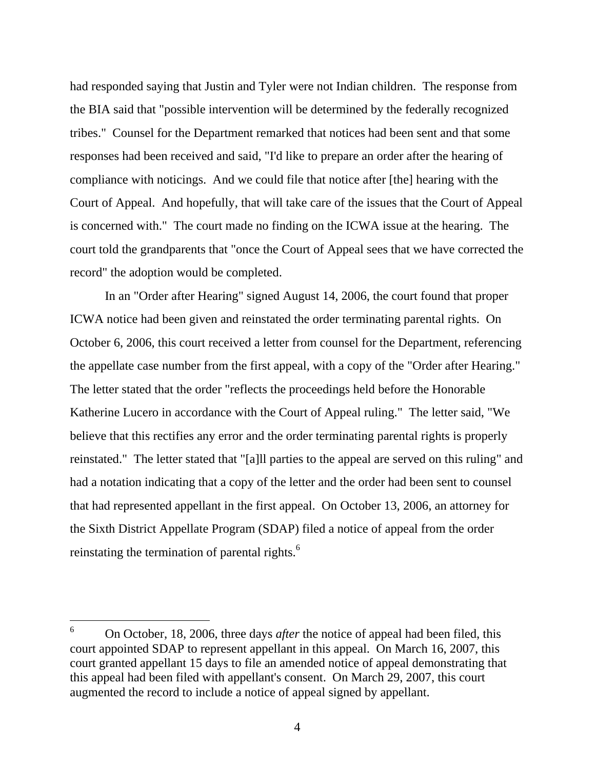had responded saying that Justin and Tyler were not Indian children. The response from the BIA said that "possible intervention will be determined by the federally recognized tribes." Counsel for the Department remarked that notices had been sent and that some responses had been received and said, "I'd like to prepare an order after the hearing of compliance with noticings. And we could file that notice after [the] hearing with the Court of Appeal. And hopefully, that will take care of the issues that the Court of Appeal is concerned with." The court made no finding on the ICWA issue at the hearing. The court told the grandparents that "once the Court of Appeal sees that we have corrected the record" the adoption would be completed.

 In an "Order after Hearing" signed August 14, 2006, the court found that proper ICWA notice had been given and reinstated the order terminating parental rights. On October 6, 2006, this court received a letter from counsel for the Department, referencing the appellate case number from the first appeal, with a copy of the "Order after Hearing." The letter stated that the order "reflects the proceedings held before the Honorable Katherine Lucero in accordance with the Court of Appeal ruling." The letter said, "We believe that this rectifies any error and the order terminating parental rights is properly reinstated." The letter stated that "[a]ll parties to the appeal are served on this ruling" and had a notation indicating that a copy of the letter and the order had been sent to counsel that had represented appellant in the first appeal. On October 13, 2006, an attorney for the Sixth District Appellate Program (SDAP) filed a notice of appeal from the order reinstating the termination of parental rights.<sup>6</sup>

<sup>6</sup> On October, 18, 2006, three days *after* the notice of appeal had been filed, this court appointed SDAP to represent appellant in this appeal. On March 16, 2007, this court granted appellant 15 days to file an amended notice of appeal demonstrating that this appeal had been filed with appellant's consent. On March 29, 2007, this court augmented the record to include a notice of appeal signed by appellant.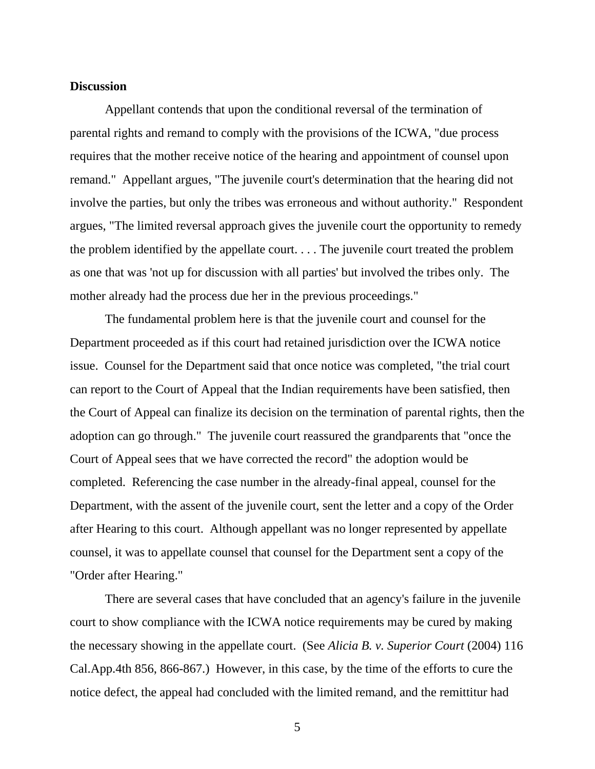#### **Discussion**

 Appellant contends that upon the conditional reversal of the termination of parental rights and remand to comply with the provisions of the ICWA, "due process requires that the mother receive notice of the hearing and appointment of counsel upon remand." Appellant argues, "The juvenile court's determination that the hearing did not involve the parties, but only the tribes was erroneous and without authority." Respondent argues, "The limited reversal approach gives the juvenile court the opportunity to remedy the problem identified by the appellate court. . . . The juvenile court treated the problem as one that was 'not up for discussion with all parties' but involved the tribes only. The mother already had the process due her in the previous proceedings."

 The fundamental problem here is that the juvenile court and counsel for the Department proceeded as if this court had retained jurisdiction over the ICWA notice issue. Counsel for the Department said that once notice was completed, "the trial court can report to the Court of Appeal that the Indian requirements have been satisfied, then the Court of Appeal can finalize its decision on the termination of parental rights, then the adoption can go through." The juvenile court reassured the grandparents that "once the Court of Appeal sees that we have corrected the record" the adoption would be completed. Referencing the case number in the already-final appeal, counsel for the Department, with the assent of the juvenile court, sent the letter and a copy of the Order after Hearing to this court. Although appellant was no longer represented by appellate counsel, it was to appellate counsel that counsel for the Department sent a copy of the "Order after Hearing."

 There are several cases that have concluded that an agency's failure in the juvenile court to show compliance with the ICWA notice requirements may be cured by making the necessary showing in the appellate court. (See *Alicia B. v. Superior Court* (2004) 116 Cal.App.4th 856, 866-867.) However, in this case, by the time of the efforts to cure the notice defect, the appeal had concluded with the limited remand, and the remittitur had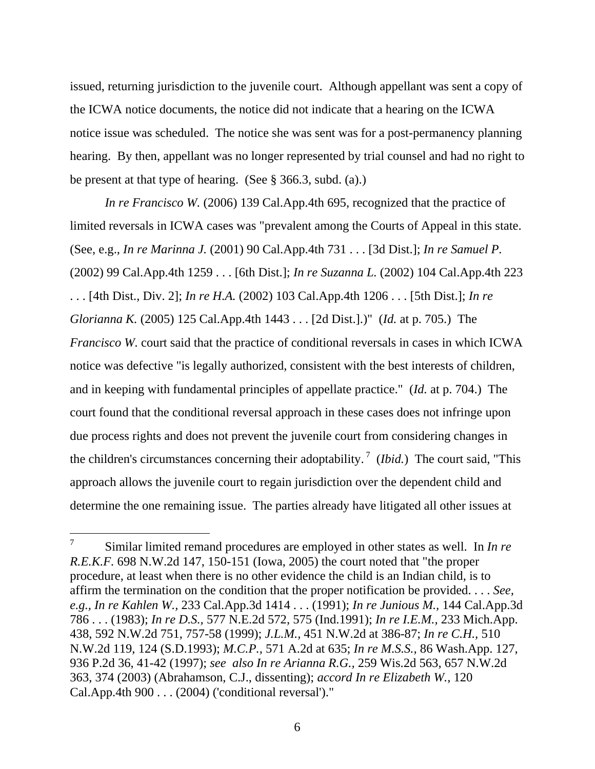issued, returning jurisdiction to the juvenile court. Although appellant was sent a copy of the ICWA notice documents, the notice did not indicate that a hearing on the ICWA notice issue was scheduled. The notice she was sent was for a post-permanency planning hearing. By then, appellant was no longer represented by trial counsel and had no right to be present at that type of hearing. (See § 366.3, subd. (a).)

 *In re Francisco W.* (2006) 139 Cal.App.4th 695, recognized that the practice of limited reversals in ICWA cases was "prevalent among the Courts of Appeal in this state. (See, e.g., *In re Marinna J.* (2001) 90 Cal.App.4th 731 . . . [3d Dist.]; *In re Samuel P.* (2002) 99 Cal.App.4th 1259 . . . [6th Dist.]; *In re Suzanna L.* (2002) 104 Cal.App.4th 223 . . . [4th Dist., Div. 2]; *In re H.A.* (2002) 103 Cal.App.4th 1206 . . . [5th Dist.]; *In re Glorianna K.* (2005) 125 Cal.App.4th 1443 . . . [2d Dist.].)" (*Id.* at p. 705.) The *Francisco W.* court said that the practice of conditional reversals in cases in which ICWA notice was defective "is legally authorized, consistent with the best interests of children, and in keeping with fundamental principles of appellate practice." (*Id.* at p. 704.) The court found that the conditional reversal approach in these cases does not infringe upon due process rights and does not prevent the juvenile court from considering changes in the children's circumstances concerning their adoptability.<sup>7</sup> (*Ibid.*) The court said, "This approach allows the juvenile court to regain jurisdiction over the dependent child and determine the one remaining issue. The parties already have litigated all other issues at

<sup>7</sup> Similar limited remand procedures are employed in other states as well. In *In re R.E.K.F.* 698 N.W.2d 147, 150-151 (Iowa, 2005) the court noted that "the proper procedure, at least when there is no other evidence the child is an Indian child, is to affirm the termination on the condition that the proper notification be provided. . . . *See, e.g., In re Kahlen W.,* 233 Cal.App.3d 1414 . . . (1991); *In re Junious M.,* 144 Cal.App.3d 786 . . . (1983); *In re D.S.,* 577 N.E.2d 572, 575 (Ind.1991); *In re I.E.M.,* 233 Mich.App. 438, 592 N.W.2d 751, 757-58 (1999); *J.L.M.,* 451 N.W.2d at 386-87; *In re C.H.,* 510 N.W.2d 119, 124 (S.D.1993); *M.C.P.,* 571 A.2d at 635; *In re M.S.S.,* 86 Wash.App. 127, 936 P.2d 36, 41-42 (1997); *see also In re Arianna R.G.,* 259 Wis.2d 563, 657 N.W.2d 363, 374 (2003) (Abrahamson, C.J., dissenting); *accord In re Elizabeth W.,* 120 Cal.App.4th 900 . . . (2004) ('conditional reversal')."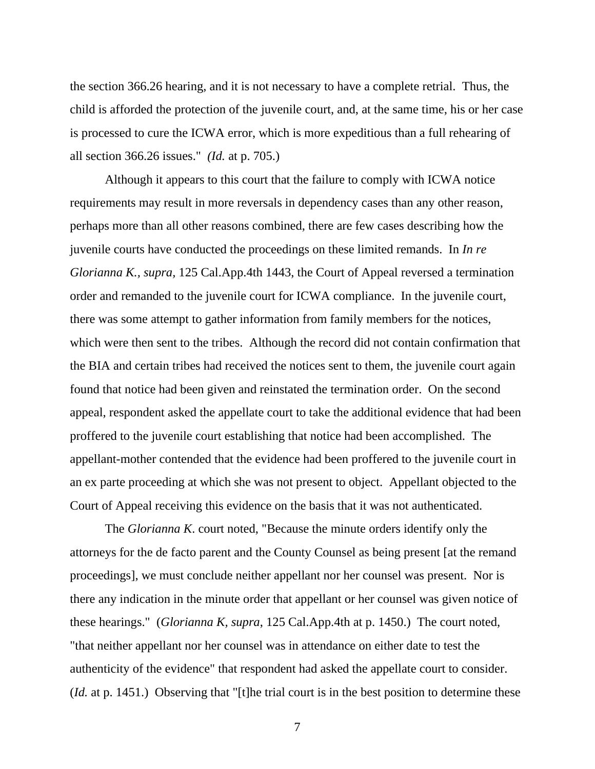the section 366.26 hearing, and it is not necessary to have a complete retrial. Thus, the child is afforded the protection of the juvenile court, and, at the same time, his or her case is processed to cure the ICWA error, which is more expeditious than a full rehearing of all section 366.26 issues." *(Id.* at p. 705.)

 Although it appears to this court that the failure to comply with ICWA notice requirements may result in more reversals in dependency cases than any other reason, perhaps more than all other reasons combined, there are few cases describing how the juvenile courts have conducted the proceedings on these limited remands. In *In re Glorianna K., supra,* 125 Cal.App.4th 1443, the Court of Appeal reversed a termination order and remanded to the juvenile court for ICWA compliance. In the juvenile court, there was some attempt to gather information from family members for the notices, which were then sent to the tribes. Although the record did not contain confirmation that the BIA and certain tribes had received the notices sent to them, the juvenile court again found that notice had been given and reinstated the termination order. On the second appeal, respondent asked the appellate court to take the additional evidence that had been proffered to the juvenile court establishing that notice had been accomplished. The appellant-mother contended that the evidence had been proffered to the juvenile court in an ex parte proceeding at which she was not present to object. Appellant objected to the Court of Appeal receiving this evidence on the basis that it was not authenticated.

 The *Glorianna K*. court noted, "Because the minute orders identify only the attorneys for the de facto parent and the County Counsel as being present [at the remand proceedings], we must conclude neither appellant nor her counsel was present. Nor is there any indication in the minute order that appellant or her counsel was given notice of these hearings." (*Glorianna K, supra*, 125 Cal.App.4th at p. 1450.) The court noted, "that neither appellant nor her counsel was in attendance on either date to test the authenticity of the evidence" that respondent had asked the appellate court to consider. (*Id.* at p. 1451.) Observing that "[t]he trial court is in the best position to determine these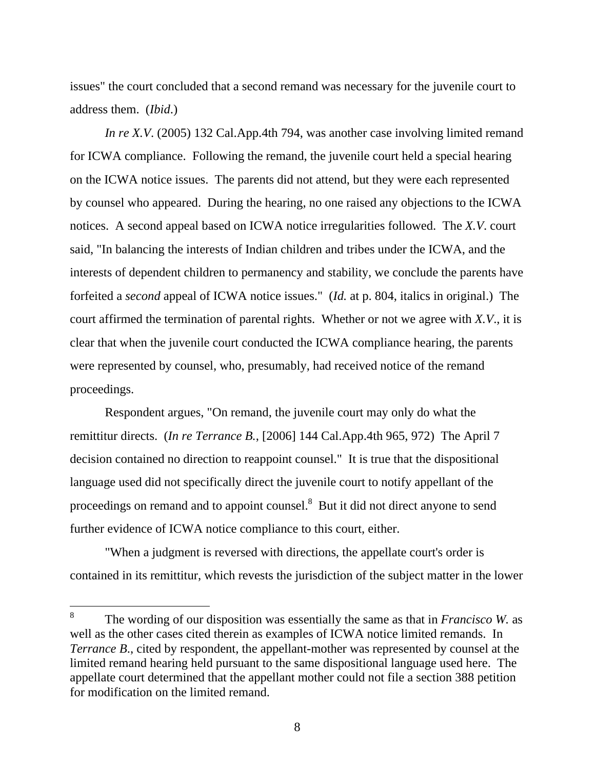issues" the court concluded that a second remand was necessary for the juvenile court to address them. (*Ibid*.)

*In re X.V.* (2005) 132 Cal.App.4th 794, was another case involving limited remand for ICWA compliance. Following the remand, the juvenile court held a special hearing on the ICWA notice issues. The parents did not attend, but they were each represented by counsel who appeared. During the hearing, no one raised any objections to the ICWA notices. A second appeal based on ICWA notice irregularities followed. The *X.V*. court said, "In balancing the interests of Indian children and tribes under the ICWA, and the interests of dependent children to permanency and stability, we conclude the parents have forfeited a *second* appeal of ICWA notice issues." (*Id.* at p. 804, italics in original.) The court affirmed the termination of parental rights. Whether or not we agree with *X.V*., it is clear that when the juvenile court conducted the ICWA compliance hearing, the parents were represented by counsel, who, presumably, had received notice of the remand proceedings.

 Respondent argues, "On remand, the juvenile court may only do what the remittitur directs. (*In re Terrance B.*, [2006] 144 Cal.App.4th 965, 972) The April 7 decision contained no direction to reappoint counsel." It is true that the dispositional language used did not specifically direct the juvenile court to notify appellant of the proceedings on remand and to appoint counsel.<sup>8</sup> But it did not direct anyone to send further evidence of ICWA notice compliance to this court, either.

 "When a judgment is reversed with directions, the appellate court's order is contained in its remittitur, which revests the jurisdiction of the subject matter in the lower

<sup>8</sup> The wording of our disposition was essentially the same as that in *Francisco W.* as well as the other cases cited therein as examples of ICWA notice limited remands. In *Terrance B.*, cited by respondent, the appellant-mother was represented by counsel at the limited remand hearing held pursuant to the same dispositional language used here. The appellate court determined that the appellant mother could not file a section 388 petition for modification on the limited remand.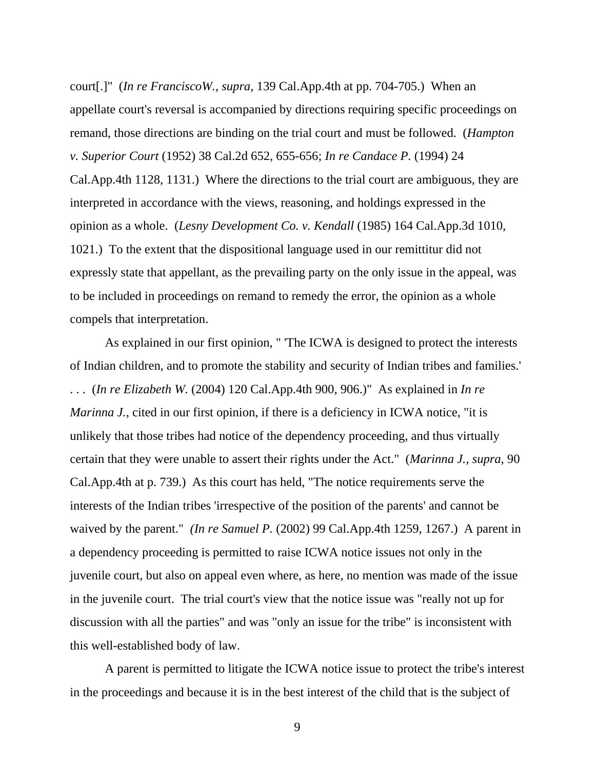court[.]" (*In re FranciscoW., supra*, 139 Cal.App.4th at pp. 704-705.) When an appellate court's reversal is accompanied by directions requiring specific proceedings on remand, those directions are binding on the trial court and must be followed. (*Hampton v. Superior Court* (1952) 38 Cal.2d 652, 655-656; *In re Candace P.* (1994) 24 Cal.App.4th 1128, 1131.) Where the directions to the trial court are ambiguous, they are interpreted in accordance with the views, reasoning, and holdings expressed in the opinion as a whole. (*Lesny Development Co. v. Kendall* (1985) 164 Cal.App.3d 1010, 1021.) To the extent that the dispositional language used in our remittitur did not expressly state that appellant, as the prevailing party on the only issue in the appeal, was to be included in proceedings on remand to remedy the error, the opinion as a whole compels that interpretation.

 As explained in our first opinion, " 'The ICWA is designed to protect the interests of Indian children, and to promote the stability and security of Indian tribes and families.' . . . (*In re Elizabeth W.* (2004) 120 Cal.App.4th 900, 906.)" As explained in *In re Marinna J.*, cited in our first opinion, if there is a deficiency in ICWA notice, "it is unlikely that those tribes had notice of the dependency proceeding, and thus virtually certain that they were unable to assert their rights under the Act." (*Marinna J., supra*, 90 Cal.App.4th at p. 739.) As this court has held, "The notice requirements serve the interests of the Indian tribes 'irrespective of the position of the parents' and cannot be waived by the parent." *(In re Samuel P. (2002)* 99 Cal.App.4th 1259, 1267.) A parent in a dependency proceeding is permitted to raise ICWA notice issues not only in the juvenile court, but also on appeal even where, as here, no mention was made of the issue in the juvenile court. The trial court's view that the notice issue was "really not up for discussion with all the parties" and was "only an issue for the tribe" is inconsistent with this well-established body of law.

 A parent is permitted to litigate the ICWA notice issue to protect the tribe's interest in the proceedings and because it is in the best interest of the child that is the subject of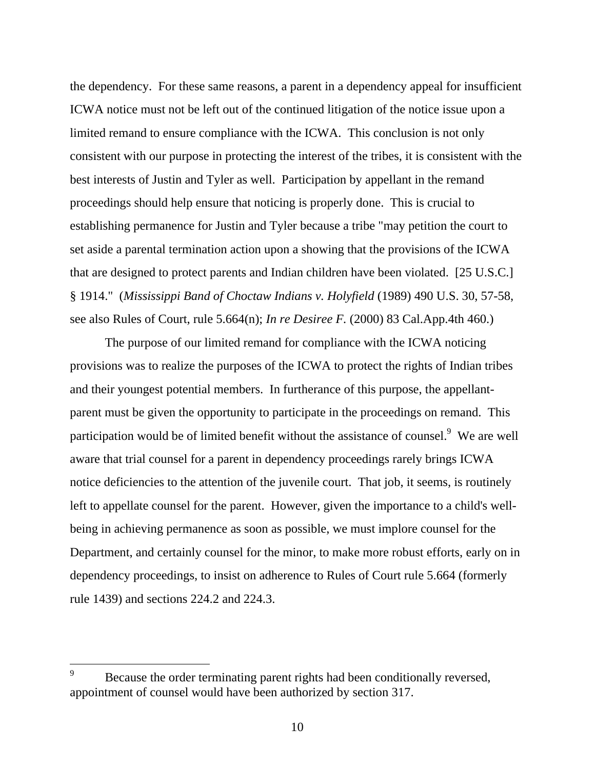the dependency. For these same reasons, a parent in a dependency appeal for insufficient ICWA notice must not be left out of the continued litigation of the notice issue upon a limited remand to ensure compliance with the ICWA. This conclusion is not only consistent with our purpose in protecting the interest of the tribes, it is consistent with the best interests of Justin and Tyler as well. Participation by appellant in the remand proceedings should help ensure that noticing is properly done. This is crucial to establishing permanence for Justin and Tyler because a tribe "may petition the court to set aside a parental termination action upon a showing that the provisions of the ICWA that are designed to protect parents and Indian children have been violated. [25 U.S.C.] § 1914." (*Mississippi Band of Choctaw Indians v. Holyfield* (1989) 490 U.S. 30, 57-58, see also Rules of Court, rule 5.664(n); *In re Desiree F.* (2000) 83 Cal.App.4th 460.)

 The purpose of our limited remand for compliance with the ICWA noticing provisions was to realize the purposes of the ICWA to protect the rights of Indian tribes and their youngest potential members. In furtherance of this purpose, the appellantparent must be given the opportunity to participate in the proceedings on remand. This participation would be of limited benefit without the assistance of counsel.<sup>9</sup> We are well aware that trial counsel for a parent in dependency proceedings rarely brings ICWA notice deficiencies to the attention of the juvenile court. That job, it seems, is routinely left to appellate counsel for the parent. However, given the importance to a child's wellbeing in achieving permanence as soon as possible, we must implore counsel for the Department, and certainly counsel for the minor, to make more robust efforts, early on in dependency proceedings, to insist on adherence to Rules of Court rule 5.664 (formerly rule 1439) and sections 224.2 and 224.3.

<sup>9</sup> Because the order terminating parent rights had been conditionally reversed, appointment of counsel would have been authorized by section 317.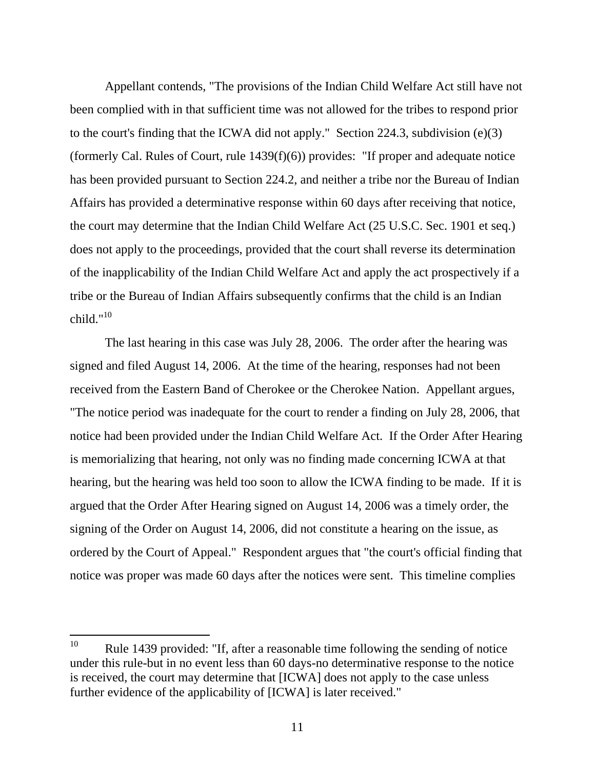Appellant contends, "The provisions of the Indian Child Welfare Act still have not been complied with in that sufficient time was not allowed for the tribes to respond prior to the court's finding that the ICWA did not apply." Section 224.3, subdivision (e)(3) (formerly Cal. Rules of Court, rule 1439(f)(6)) provides: "If proper and adequate notice has been provided pursuant to Section 224.2, and neither a tribe nor the Bureau of Indian Affairs has provided a determinative response within 60 days after receiving that notice, the court may determine that the Indian Child Welfare Act (25 U.S.C. Sec. 1901 et seq.) does not apply to the proceedings, provided that the court shall reverse its determination of the inapplicability of the Indian Child Welfare Act and apply the act prospectively if a tribe or the Bureau of Indian Affairs subsequently confirms that the child is an Indian child." $10$ 

 The last hearing in this case was July 28, 2006. The order after the hearing was signed and filed August 14, 2006. At the time of the hearing, responses had not been received from the Eastern Band of Cherokee or the Cherokee Nation. Appellant argues, "The notice period was inadequate for the court to render a finding on July 28, 2006, that notice had been provided under the Indian Child Welfare Act. If the Order After Hearing is memorializing that hearing, not only was no finding made concerning ICWA at that hearing, but the hearing was held too soon to allow the ICWA finding to be made. If it is argued that the Order After Hearing signed on August 14, 2006 was a timely order, the signing of the Order on August 14, 2006, did not constitute a hearing on the issue, as ordered by the Court of Appeal." Respondent argues that "the court's official finding that notice was proper was made 60 days after the notices were sent. This timeline complies

<sup>10</sup> Rule 1439 provided: "If, after a reasonable time following the sending of notice under this rule-but in no event less than 60 days-no determinative response to the notice is received, the court may determine that [ICWA] does not apply to the case unless further evidence of the applicability of [ICWA] is later received."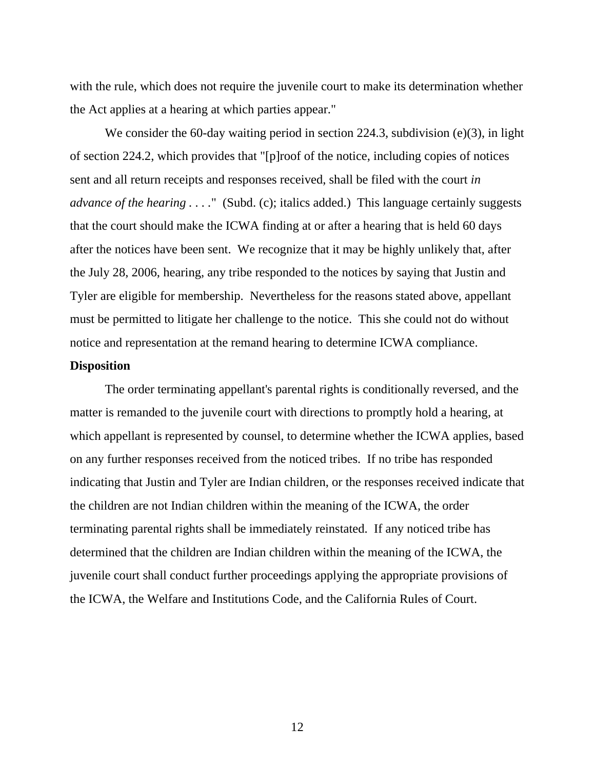with the rule, which does not require the juvenile court to make its determination whether the Act applies at a hearing at which parties appear."

We consider the 60-day waiting period in section 224.3, subdivision (e)(3), in light of section 224.2, which provides that "[p]roof of the notice, including copies of notices sent and all return receipts and responses received, shall be filed with the court *in advance of the hearing ....*" (Subd. (c); italics added.) This language certainly suggests that the court should make the ICWA finding at or after a hearing that is held 60 days after the notices have been sent. We recognize that it may be highly unlikely that, after the July 28, 2006, hearing, any tribe responded to the notices by saying that Justin and Tyler are eligible for membership. Nevertheless for the reasons stated above, appellant must be permitted to litigate her challenge to the notice. This she could not do without notice and representation at the remand hearing to determine ICWA compliance.

#### **Disposition**

 The order terminating appellant's parental rights is conditionally reversed, and the matter is remanded to the juvenile court with directions to promptly hold a hearing, at which appellant is represented by counsel, to determine whether the ICWA applies, based on any further responses received from the noticed tribes. If no tribe has responded indicating that Justin and Tyler are Indian children, or the responses received indicate that the children are not Indian children within the meaning of the ICWA, the order terminating parental rights shall be immediately reinstated. If any noticed tribe has determined that the children are Indian children within the meaning of the ICWA, the juvenile court shall conduct further proceedings applying the appropriate provisions of the ICWA, the Welfare and Institutions Code, and the California Rules of Court.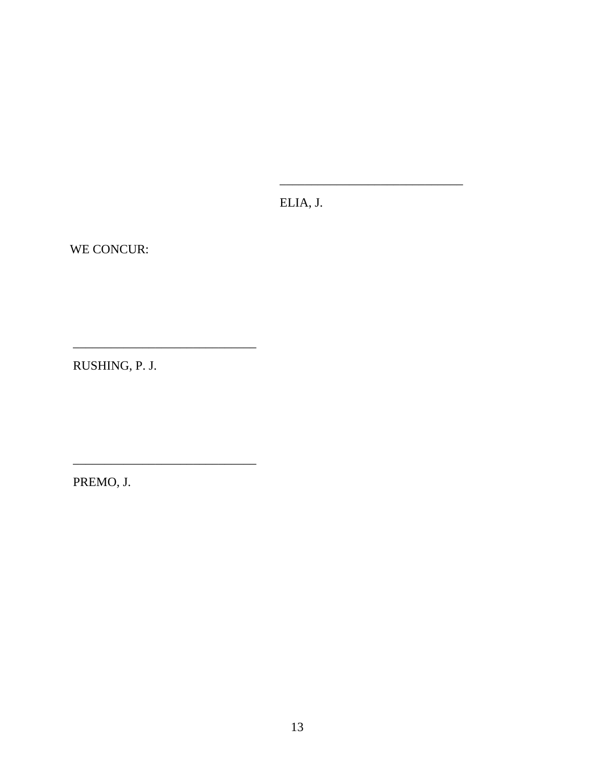ELIA, J.

WE CONCUR:

RUSHING, P. J.

PREMO, J.